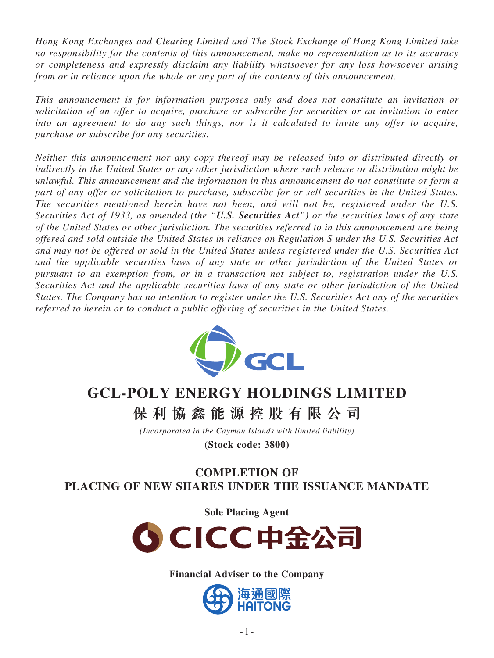*Hong Kong Exchanges and Clearing Limited and The Stock Exchange of Hong Kong Limited take no responsibility for the contents of this announcement, make no representation as to its accuracy or completeness and expressly disclaim any liability whatsoever for any loss howsoever arising from or in reliance upon the whole or any part of the contents of this announcement.*

*This announcement is for information purposes only and does not constitute an invitation or solicitation of an offer to acquire, purchase or subscribe for securities or an invitation to enter into an agreement to do any such things, nor is it calculated to invite any offer to acquire, purchase or subscribe for any securities.*

*Neither this announcement nor any copy thereof may be released into or distributed directly or indirectly in the United States or any other jurisdiction where such release or distribution might be unlawful. This announcement and the information in this announcement do not constitute or form a part of any offer or solicitation to purchase, subscribe for or sell securities in the United States. The securities mentioned herein have not been, and will not be, registered under the U.S. Securities Act of 1933, as amended (the "U.S. Securities Act") or the securities laws of any state of the United States or other jurisdiction. The securities referred to in this announcement are being offered and sold outside the United States in reliance on Regulation S under the U.S. Securities Act and may not be offered or sold in the United States unless registered under the U.S. Securities Act and the applicable securities laws of any state or other jurisdiction of the United States or pursuant to an exemption from, or in a transaction not subject to, registration under the U.S. Securities Act and the applicable securities laws of any state or other jurisdiction of the United States. The Company has no intention to register under the U.S. Securities Act any of the securities referred to herein or to conduct a public offering of securities in the United States.*



# **GCL-POLY ENERGY HOLDINGS LIMITED**

**保利協鑫能源控股有限公 司**

*(Incorporated in the Cayman Islands with limited liability)*

**(Stock code: 3800)**

# **COMPLETION OF PLACING OF NEW SHARES UNDER THE ISSUANCE MANDATE**

**Sole Placing Agent**



**Financial Adviser to the Company**

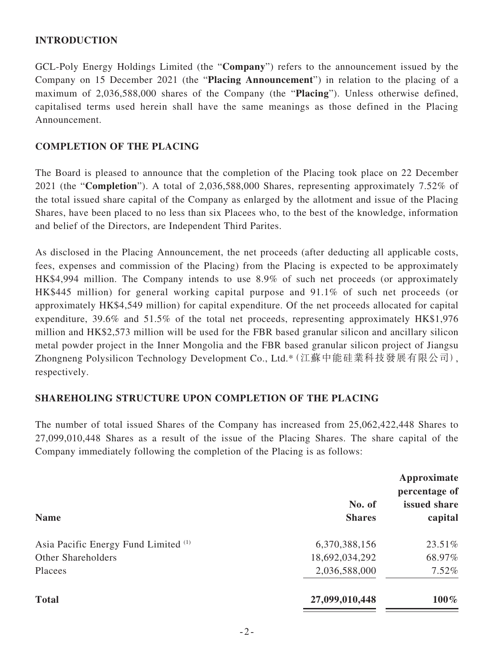## **INTRODUCTION**

GCL-Poly Energy Holdings Limited (the "**Company**") refers to the announcement issued by the Company on 15 December 2021 (the "**Placing Announcement**") in relation to the placing of a maximum of 2,036,588,000 shares of the Company (the "**Placing**"). Unless otherwise defined, capitalised terms used herein shall have the same meanings as those defined in the Placing Announcement.

#### **COMPLETION OF THE PLACING**

The Board is pleased to announce that the completion of the Placing took place on 22 December 2021 (the "**Completion**"). A total of 2,036,588,000 Shares, representing approximately 7.52% of the total issued share capital of the Company as enlarged by the allotment and issue of the Placing Shares, have been placed to no less than six Placees who, to the best of the knowledge, information and belief of the Directors, are Independent Third Parites.

As disclosed in the Placing Announcement, the net proceeds (after deducting all applicable costs, fees, expenses and commission of the Placing) from the Placing is expected to be approximately HK\$4,994 million. The Company intends to use 8.9% of such net proceeds (or approximately HK\$445 million) for general working capital purpose and 91.1% of such net proceeds (or approximately HK\$4,549 million) for capital expenditure. Of the net proceeds allocated for capital expenditure, 39.6% and 51.5% of the total net proceeds, representing approximately HK\$1,976 million and HK\$2,573 million will be used for the FBR based granular silicon and ancillary silicon metal powder project in the Inner Mongolia and the FBR based granular silicon project of Jiangsu Zhongneng Polysilicon Technology Development Co., Ltd.\*(江蘇中能硅業科技發展有限公司), respectively.

## **SHAREHOLING STRUCTURE UPON COMPLETION OF THE PLACING**

The number of total issued Shares of the Company has increased from 25,062,422,448 Shares to 27,099,010,448 Shares as a result of the issue of the Placing Shares. The share capital of the Company immediately following the completion of the Placing is as follows:

| <b>Name</b>                          | Approximate<br>percentage of |                         |
|--------------------------------------|------------------------------|-------------------------|
|                                      | No. of<br><b>Shares</b>      | issued share<br>capital |
|                                      |                              |                         |
| Asia Pacific Energy Fund Limited (1) | 6,370,388,156                | 23.51%                  |
| Other Shareholders                   | 18,692,034,292               | 68.97%                  |
| Placees                              | 2,036,588,000                | 7.52%                   |
| <b>Total</b>                         | 27,099,010,448               | $100\%$                 |
|                                      |                              |                         |